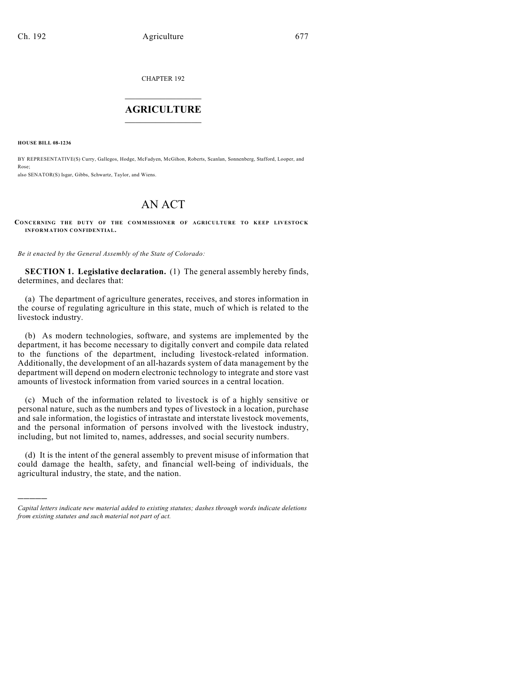CHAPTER 192

## $\overline{\phantom{a}}$  . The set of the set of the set of the set of the set of the set of the set of the set of the set of the set of the set of the set of the set of the set of the set of the set of the set of the set of the set o **AGRICULTURE**  $\_$   $\_$   $\_$   $\_$   $\_$   $\_$   $\_$   $\_$

**HOUSE BILL 08-1236**

)))))

BY REPRESENTATIVE(S) Curry, Gallegos, Hodge, McFadyen, McGihon, Roberts, Scanlan, Sonnenberg, Stafford, Looper, and Rose; also SENATOR(S) Isgar, Gibbs, Schwartz, Taylor, and Wiens.

## AN ACT

**CO NCERNING THE DUTY OF THE COMMISSIONER OF AGRICULTURE TO KEEP LIVESTOCK INFORMATION CONFIDENTIAL.**

*Be it enacted by the General Assembly of the State of Colorado:*

**SECTION 1. Legislative declaration.** (1) The general assembly hereby finds, determines, and declares that:

(a) The department of agriculture generates, receives, and stores information in the course of regulating agriculture in this state, much of which is related to the livestock industry.

(b) As modern technologies, software, and systems are implemented by the department, it has become necessary to digitally convert and compile data related to the functions of the department, including livestock-related information. Additionally, the development of an all-hazards system of data management by the department will depend on modern electronic technology to integrate and store vast amounts of livestock information from varied sources in a central location.

(c) Much of the information related to livestock is of a highly sensitive or personal nature, such as the numbers and types of livestock in a location, purchase and sale information, the logistics of intrastate and interstate livestock movements, and the personal information of persons involved with the livestock industry, including, but not limited to, names, addresses, and social security numbers.

(d) It is the intent of the general assembly to prevent misuse of information that could damage the health, safety, and financial well-being of individuals, the agricultural industry, the state, and the nation.

*Capital letters indicate new material added to existing statutes; dashes through words indicate deletions from existing statutes and such material not part of act.*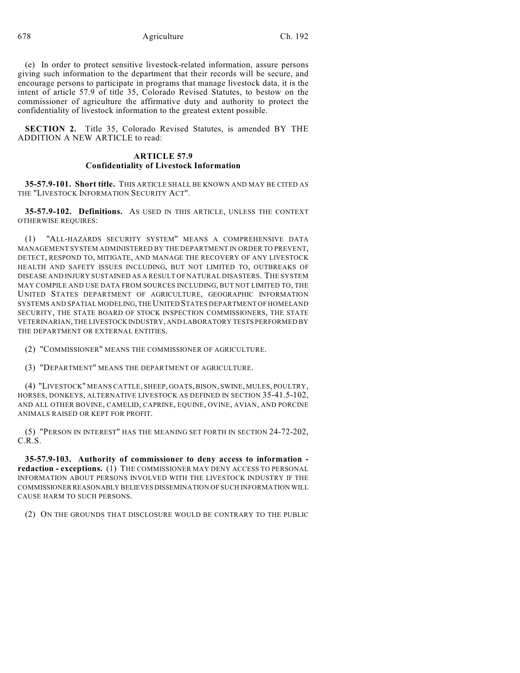678 Agriculture Ch. 192

(e) In order to protect sensitive livestock-related information, assure persons giving such information to the department that their records will be secure, and encourage persons to participate in programs that manage livestock data, it is the intent of article 57.9 of title 35, Colorado Revised Statutes, to bestow on the commissioner of agriculture the affirmative duty and authority to protect the confidentiality of livestock information to the greatest extent possible.

**SECTION 2.** Title 35, Colorado Revised Statutes, is amended BY THE ADDITION A NEW ARTICLE to read:

## **ARTICLE 57.9 Confidentiality of Livestock Information**

**35-57.9-101. Short title.** THIS ARTICLE SHALL BE KNOWN AND MAY BE CITED AS THE "LIVESTOCK INFORMATION SECURITY ACT".

**35-57.9-102. Definitions.** AS USED IN THIS ARTICLE, UNLESS THE CONTEXT OTHERWISE REQUIRES:

(1) "ALL-HAZARDS SECURITY SYSTEM" MEANS A COMPREHENSIVE DATA MANAGEMENT SYSTEM ADMINISTERED BY THE DEPARTMENT IN ORDER TO PREVENT, DETECT, RESPOND TO, MITIGATE, AND MANAGE THE RECOVERY OF ANY LIVESTOCK HEALTH AND SAFETY ISSUES INCLUDING, BUT NOT LIMITED TO, OUTBREAKS OF DISEASE AND INJURY SUSTAINED AS A RESULT OF NATURAL DISASTERS. THE SYSTEM MAY COMPILE AND USE DATA FROM SOURCES INCLUDING, BUT NOT LIMITED TO, THE UNITED STATES DEPARTMENT OF AGRICULTURE, GEOGRAPHIC INFORMATION SYSTEMS AND SPATIAL MODELING, THE UNITED STATES DEPARTMENT OF HOMELAND SECURITY, THE STATE BOARD OF STOCK INSPECTION COMMISSIONERS, THE STATE VETERINARIAN, THE LIVESTOCK INDUSTRY, AND LABORATORY TESTS PERFORMED BY THE DEPARTMENT OR EXTERNAL ENTITIES.

(2) "COMMISSIONER" MEANS THE COMMISSIONER OF AGRICULTURE.

(3) "DEPARTMENT" MEANS THE DEPARTMENT OF AGRICULTURE.

(4) "LIVESTOCK" MEANS CATTLE, SHEEP, GOATS, BISON, SWINE, MULES, POULTRY, HORSES, DONKEYS, ALTERNATIVE LIVESTOCK AS DEFINED IN SECTION 35-41.5-102, AND ALL OTHER BOVINE, CAMELID, CAPRINE, EQUINE, OVINE, AVIAN, AND PORCINE ANIMALS RAISED OR KEPT FOR PROFIT.

(5) "PERSON IN INTEREST" HAS THE MEANING SET FORTH IN SECTION 24-72-202, C.R.S.

**35-57.9-103. Authority of commissioner to deny access to information redaction - exceptions.** (1) THE COMMISSIONER MAY DENY ACCESS TO PERSONAL INFORMATION ABOUT PERSONS INVOLVED WITH THE LIVESTOCK INDUSTRY IF THE COMMISSIONER REASONABLY BELIEVES DISSEMINATION OF SUCH INFORMATION WILL CAUSE HARM TO SUCH PERSONS.

(2) ON THE GROUNDS THAT DISCLOSURE WOULD BE CONTRARY TO THE PUBLIC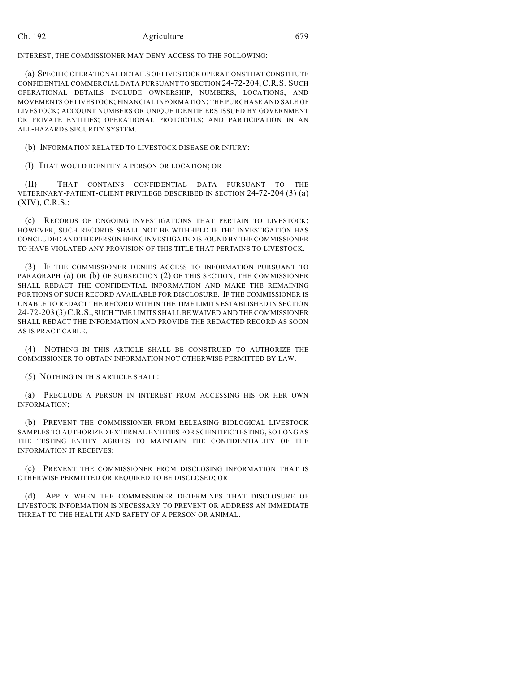## Ch. 192 Agriculture 679

INTEREST, THE COMMISSIONER MAY DENY ACCESS TO THE FOLLOWING:

(a) SPECIFIC OPERATIONAL DETAILS OF LIVESTOCK OPERATIONS THAT CONSTITUTE CONFIDENTIAL COMMERCIAL DATA PURSUANT TO SECTION 24-72-204,C.R.S. SUCH OPERATIONAL DETAILS INCLUDE OWNERSHIP, NUMBERS, LOCATIONS, AND MOVEMENTS OF LIVESTOCK; FINANCIAL INFORMATION; THE PURCHASE AND SALE OF LIVESTOCK; ACCOUNT NUMBERS OR UNIQUE IDENTIFIERS ISSUED BY GOVERNMENT OR PRIVATE ENTITIES; OPERATIONAL PROTOCOLS; AND PARTICIPATION IN AN ALL-HAZARDS SECURITY SYSTEM.

(b) INFORMATION RELATED TO LIVESTOCK DISEASE OR INJURY:

(I) THAT WOULD IDENTIFY A PERSON OR LOCATION; OR

(II) THAT CONTAINS CONFIDENTIAL DATA PURSUANT TO THE VETERINARY-PATIENT-CLIENT PRIVILEGE DESCRIBED IN SECTION 24-72-204 (3) (a) (XIV), C.R.S.;

(c) RECORDS OF ONGOING INVESTIGATIONS THAT PERTAIN TO LIVESTOCK; HOWEVER, SUCH RECORDS SHALL NOT BE WITHHELD IF THE INVESTIGATION HAS CONCLUDED AND THE PERSON BEING INVESTIGATED IS FOUND BY THE COMMISSIONER TO HAVE VIOLATED ANY PROVISION OF THIS TITLE THAT PERTAINS TO LIVESTOCK.

(3) IF THE COMMISSIONER DENIES ACCESS TO INFORMATION PURSUANT TO PARAGRAPH (a) OR (b) OF SUBSECTION (2) OF THIS SECTION, THE COMMISSIONER SHALL REDACT THE CONFIDENTIAL INFORMATION AND MAKE THE REMAINING PORTIONS OF SUCH RECORD AVAILABLE FOR DISCLOSURE. IF THE COMMISSIONER IS UNABLE TO REDACT THE RECORD WITHIN THE TIME LIMITS ESTABLISHED IN SECTION 24-72-203 (3)C.R.S., SUCH TIME LIMITS SHALL BE WAIVED AND THE COMMISSIONER SHALL REDACT THE INFORMATION AND PROVIDE THE REDACTED RECORD AS SOON AS IS PRACTICABLE.

(4) NOTHING IN THIS ARTICLE SHALL BE CONSTRUED TO AUTHORIZE THE COMMISSIONER TO OBTAIN INFORMATION NOT OTHERWISE PERMITTED BY LAW.

(5) NOTHING IN THIS ARTICLE SHALL:

(a) PRECLUDE A PERSON IN INTEREST FROM ACCESSING HIS OR HER OWN INFORMATION;

(b) PREVENT THE COMMISSIONER FROM RELEASING BIOLOGICAL LIVESTOCK SAMPLES TO AUTHORIZED EXTERNAL ENTITIES FOR SCIENTIFIC TESTING, SO LONG AS THE TESTING ENTITY AGREES TO MAINTAIN THE CONFIDENTIALITY OF THE INFORMATION IT RECEIVES;

(c) PREVENT THE COMMISSIONER FROM DISCLOSING INFORMATION THAT IS OTHERWISE PERMITTED OR REQUIRED TO BE DISCLOSED; OR

(d) APPLY WHEN THE COMMISSIONER DETERMINES THAT DISCLOSURE OF LIVESTOCK INFORMATION IS NECESSARY TO PREVENT OR ADDRESS AN IMMEDIATE THREAT TO THE HEALTH AND SAFETY OF A PERSON OR ANIMAL.